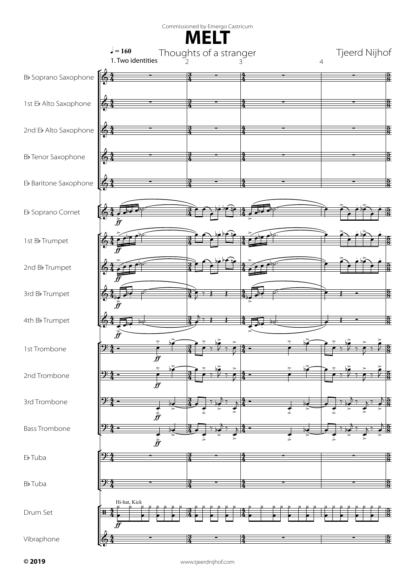Commissioned by Emergo Castricum

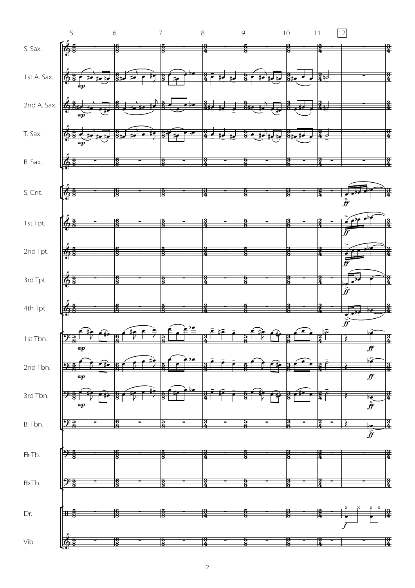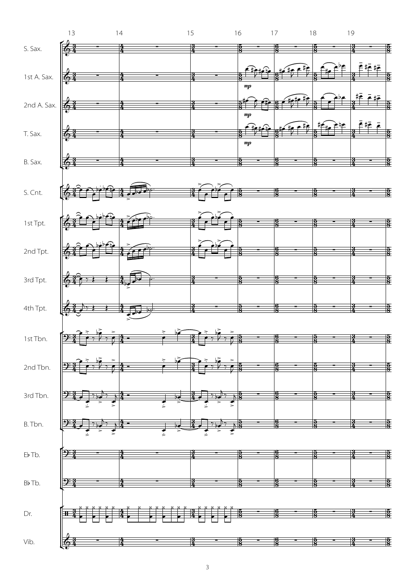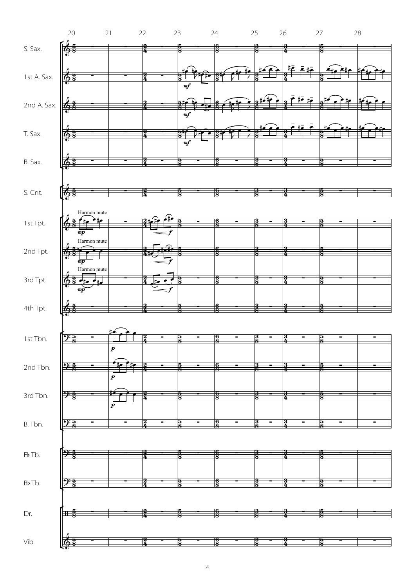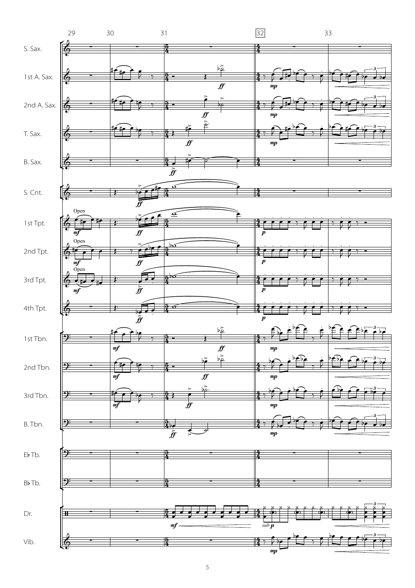

<sup>5</sup>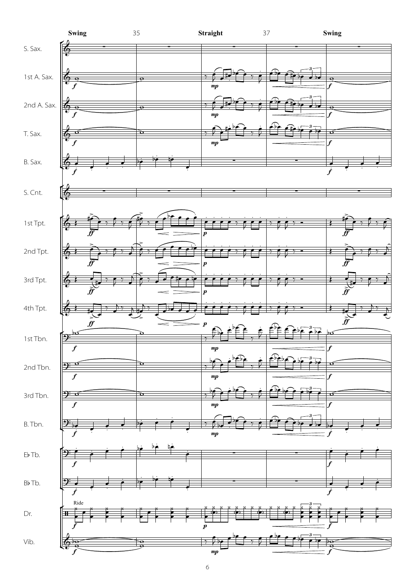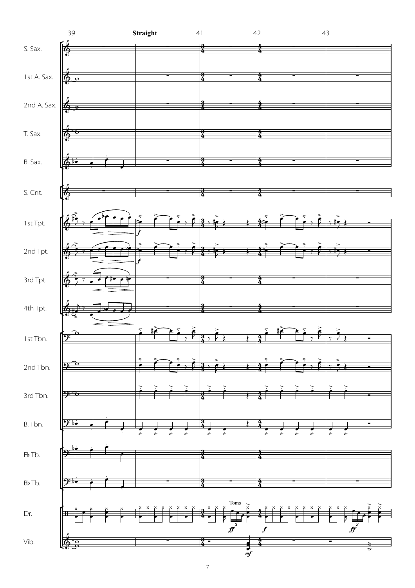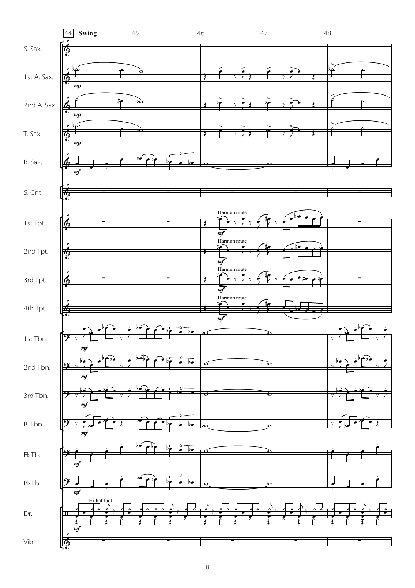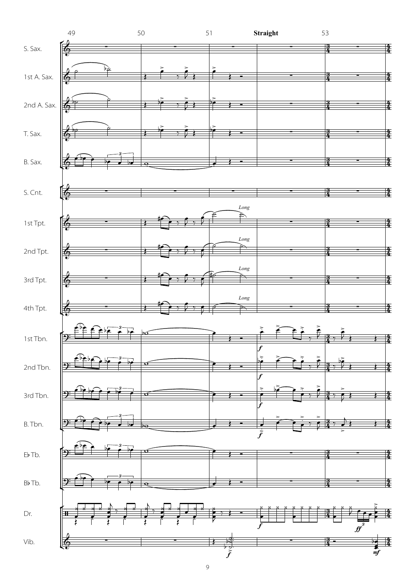

 $\mathcal{G}$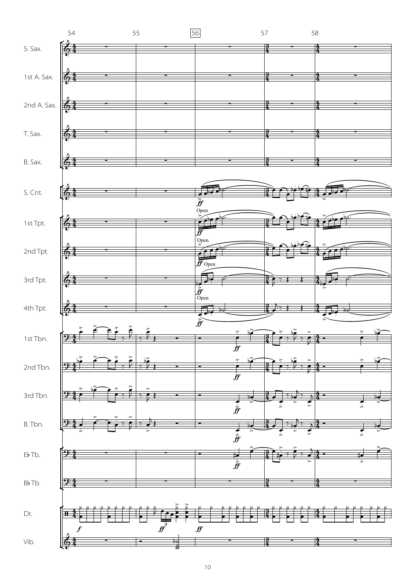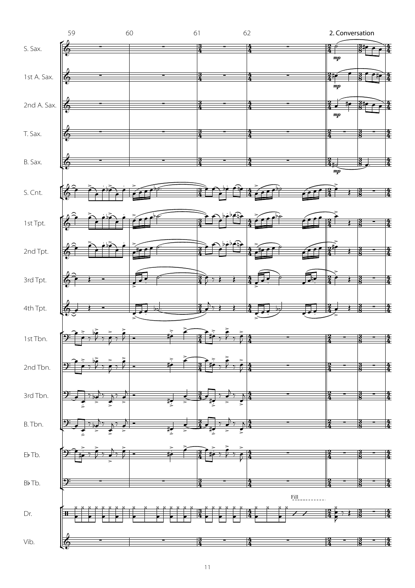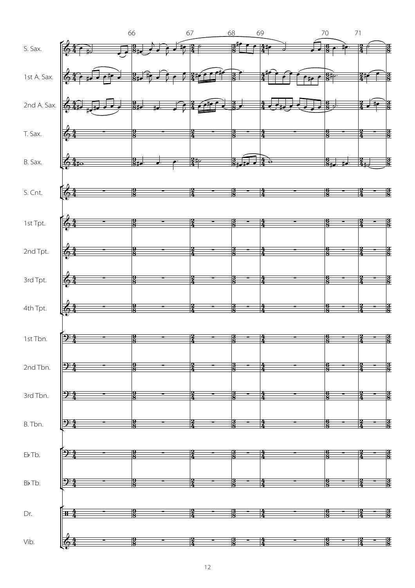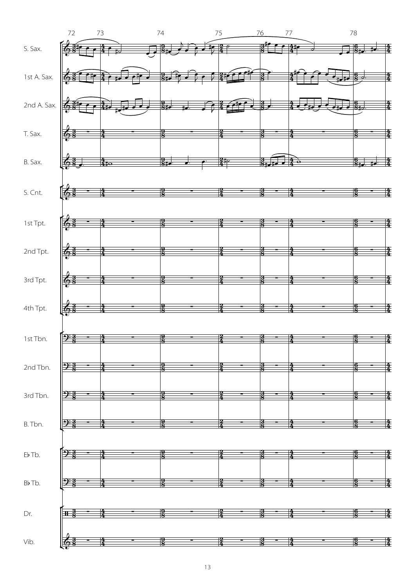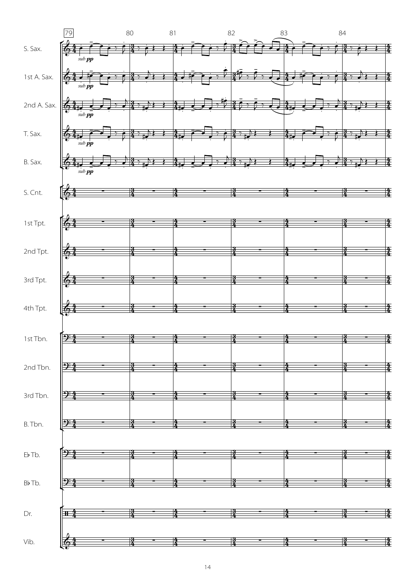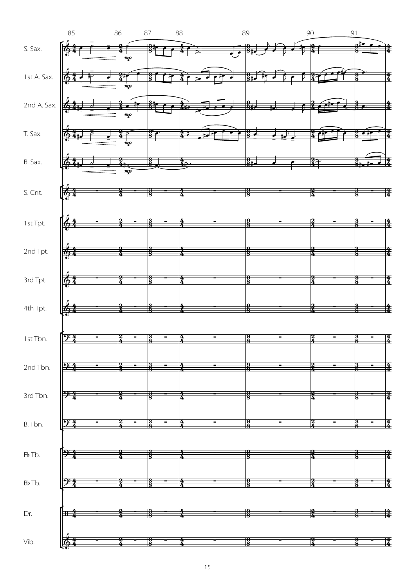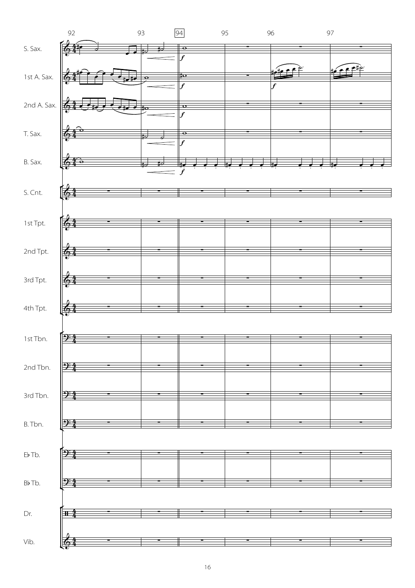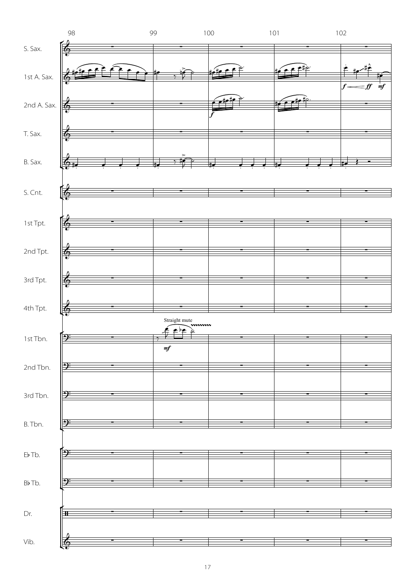

 $17\,$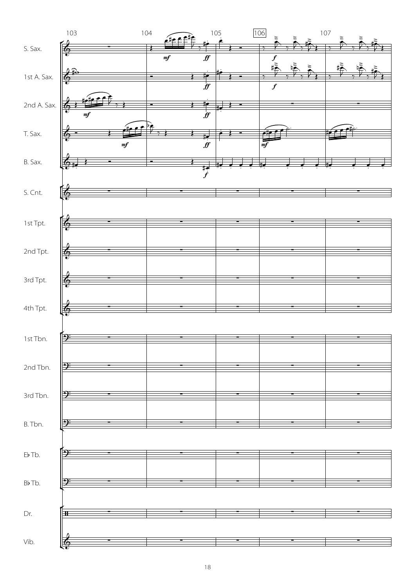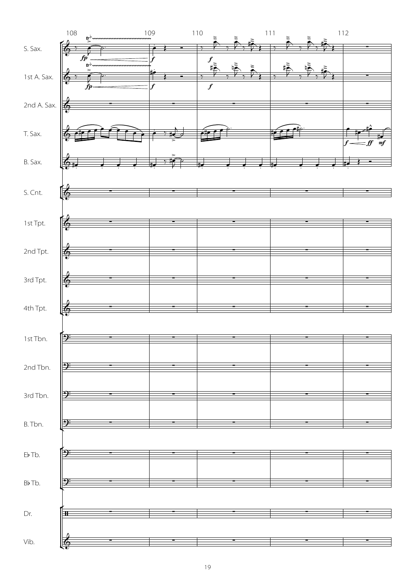

<sup>19</sup>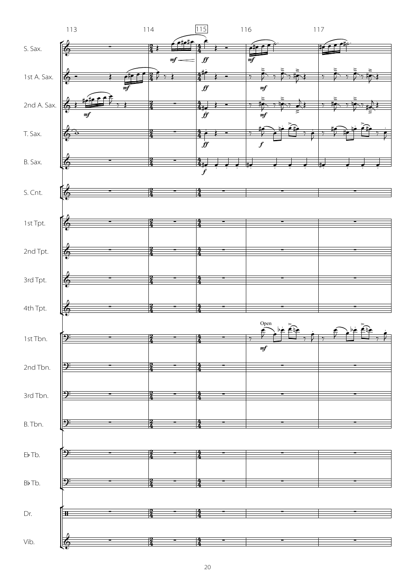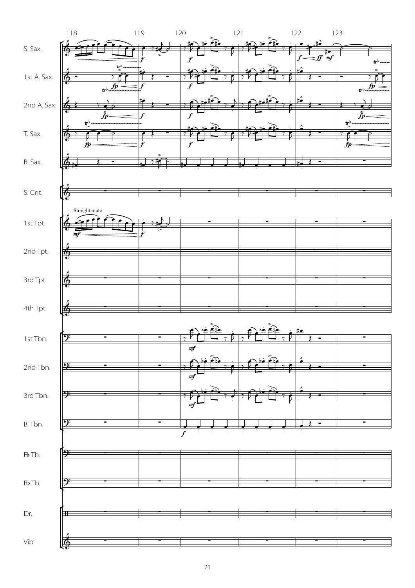

21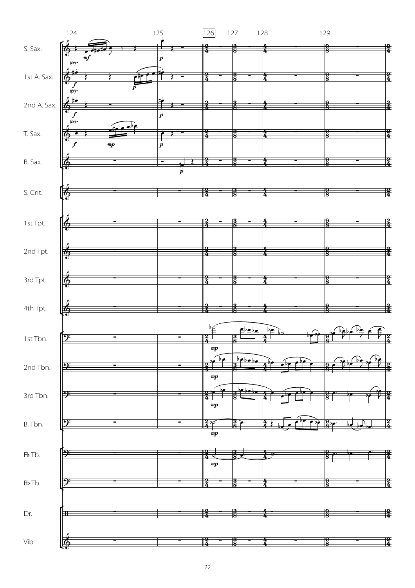

22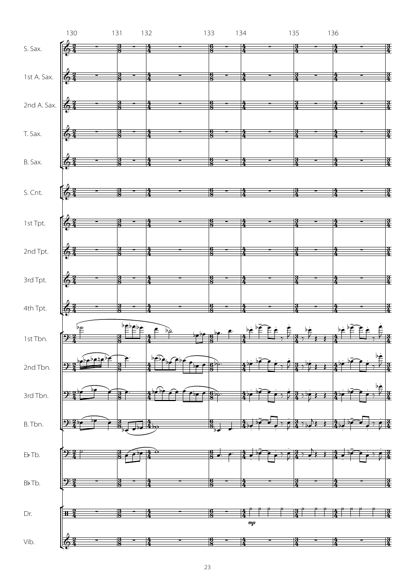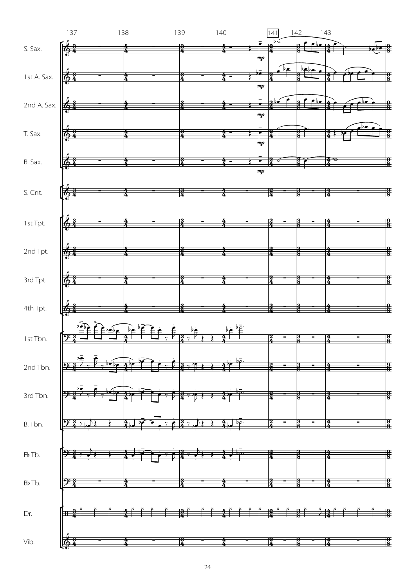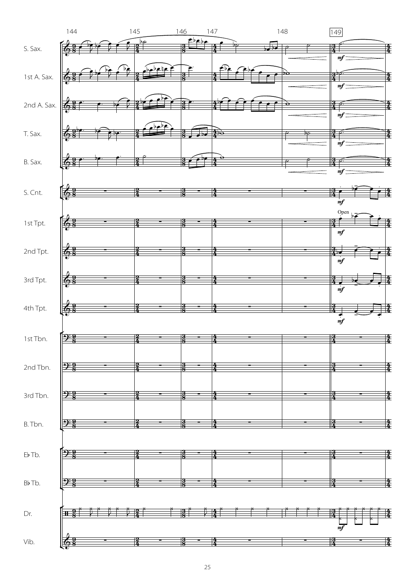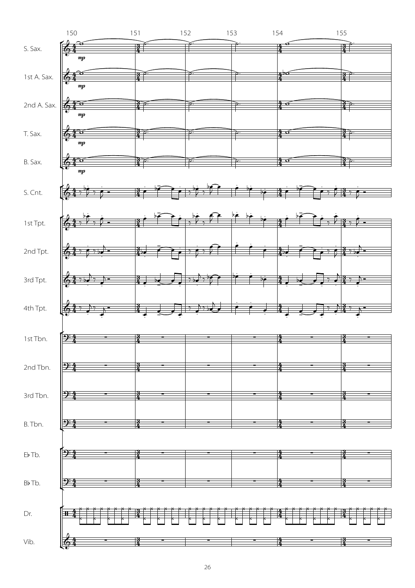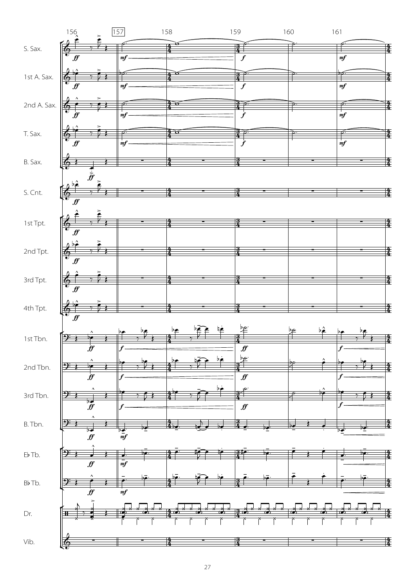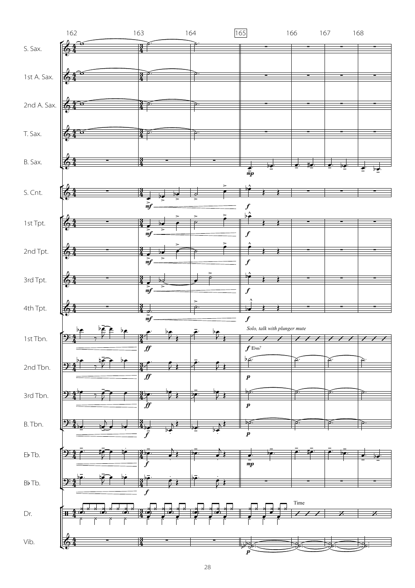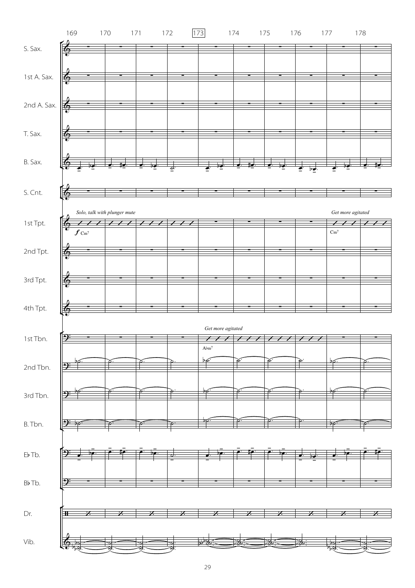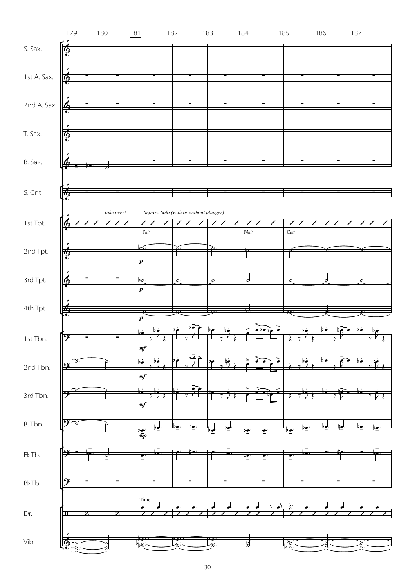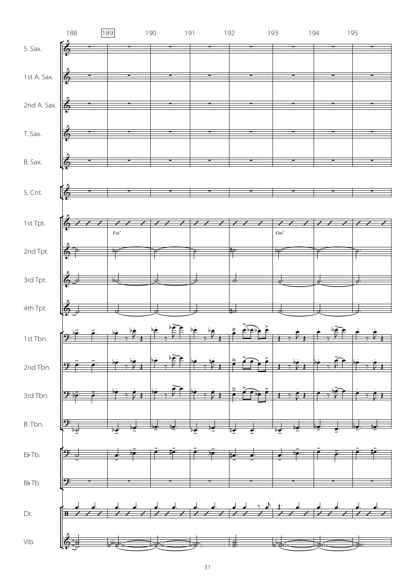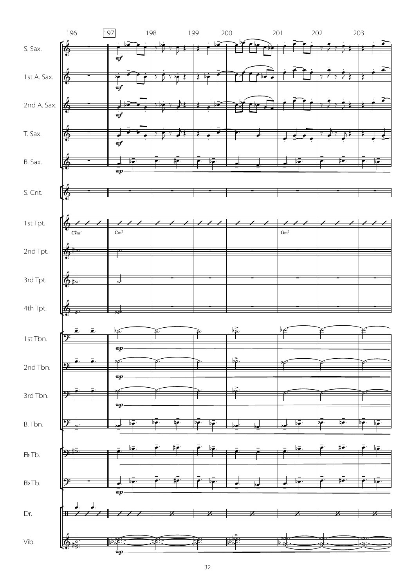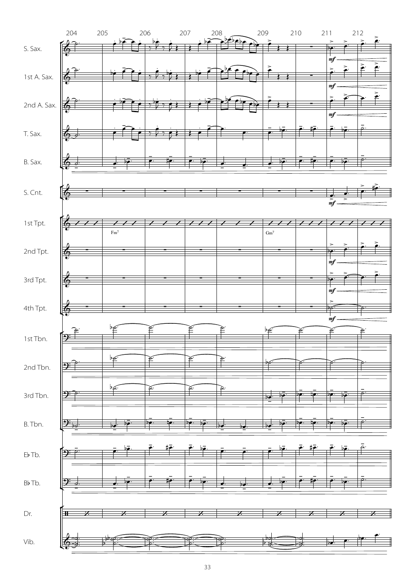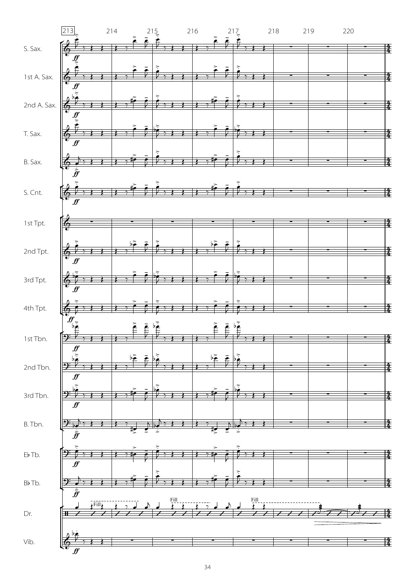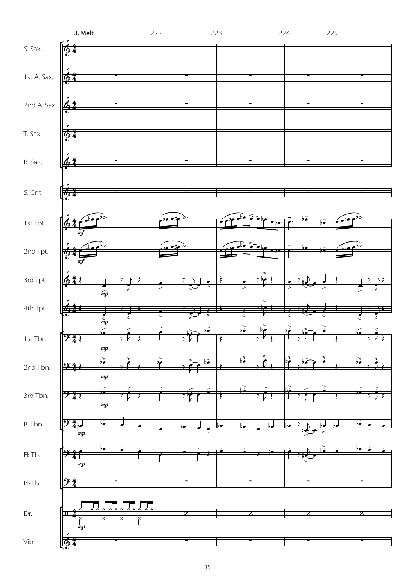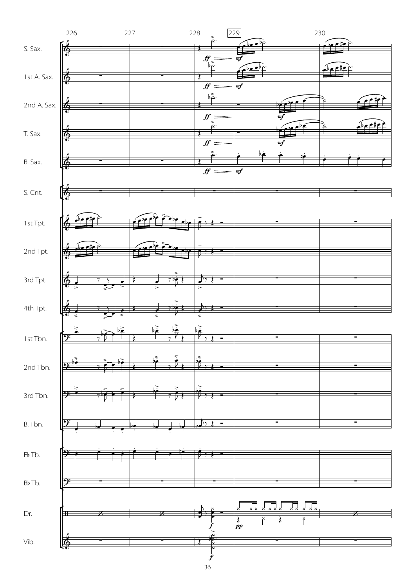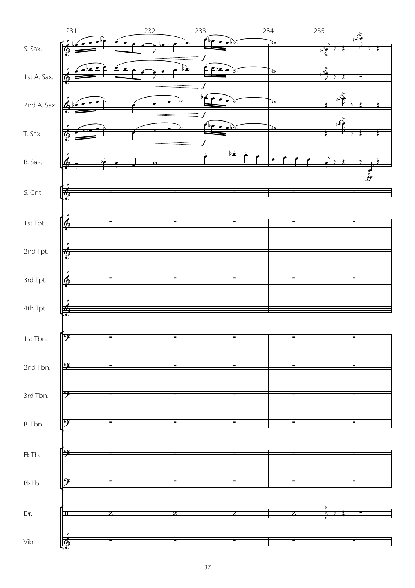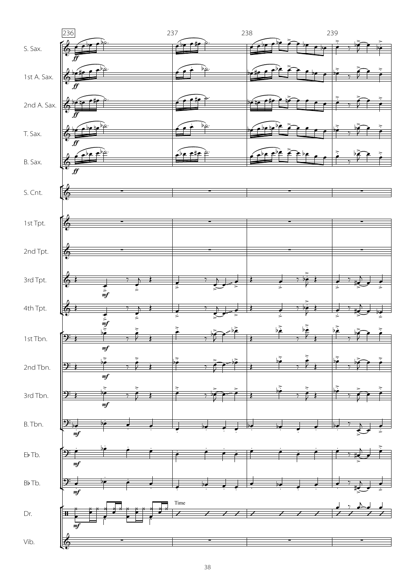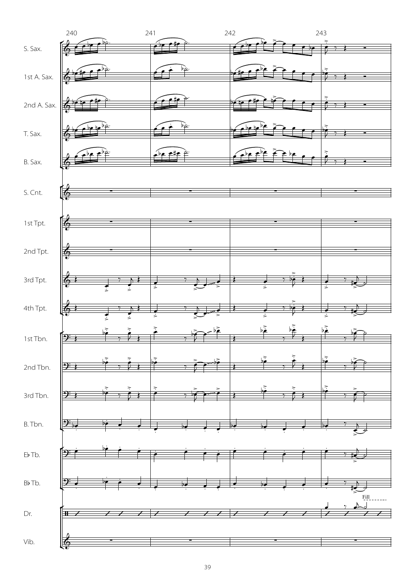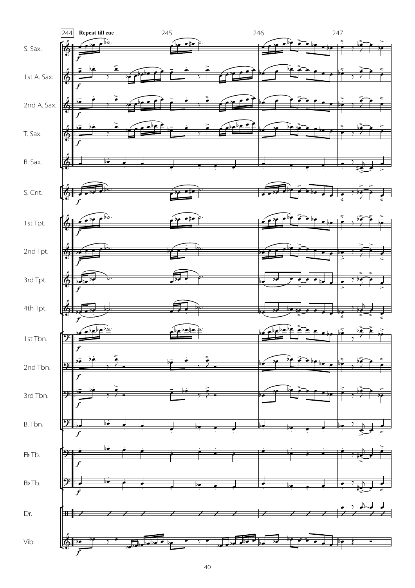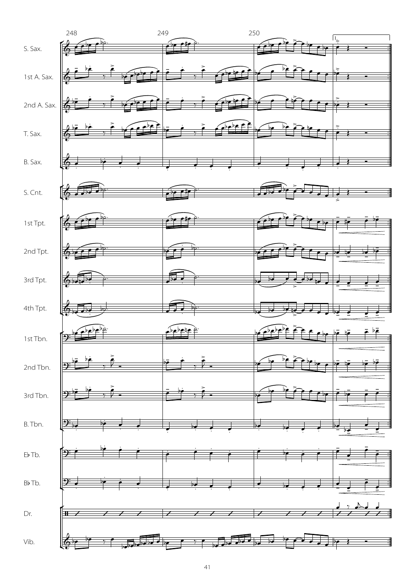